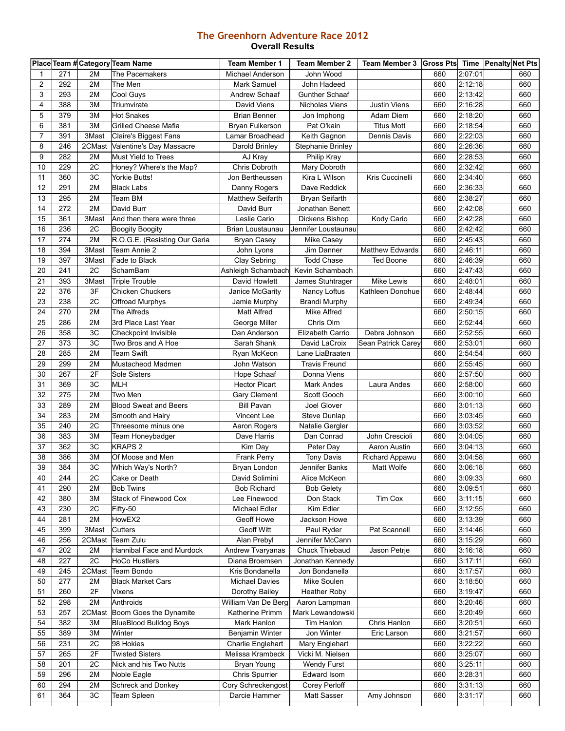## **The Greenhorn Adventure Race 2012 Overall Results**

|              |     |                 | Place Team # Category Team Name | <b>Team Member 1</b>              | <b>Team Member 2</b>     | Team Member 3   Gross Pts   Time   Penalty Net Pts |            |                    |     |
|--------------|-----|-----------------|---------------------------------|-----------------------------------|--------------------------|----------------------------------------------------|------------|--------------------|-----|
| $\mathbf{1}$ | 271 | 2M              | The Pacemakers                  | Michael Anderson                  | John Wood                |                                                    | 660        | 2:07:01            | 660 |
| 2            | 292 | 2M              | The Men                         | Mark Samuel                       | John Hadeed              |                                                    | 660        | 2:12:18            | 660 |
| 3            | 293 | 2M              | <b>Cool Guys</b>                | Andrew Schaaf                     | Gunther Schaaf           |                                                    | 660        | 2:13:42            | 660 |
| 4            | 388 | 3M              | Triumvirate                     | David Viens                       | Nicholas Viens           | <b>Justin Viens</b>                                | 660        | 2:16:28            | 660 |
| 5            | 379 | 3M              | <b>Hot Snakes</b>               | <b>Brian Benner</b>               | Jon Imphong              | Adam Diem                                          | 660        | 2:18:20            | 660 |
| 6            | 381 | 3M              | <b>Grilled Cheese Mafia</b>     | Bryan Fulkerson                   | Pat O'kain               | <b>Titus Mott</b>                                  | 660        | 2:18:54            | 660 |
| 7            | 391 | 3Mast           | Claire's Biggest Fans           | Lamar Broadhead                   | Keith Gagnon             | Dennis Davis                                       | 660        | 2:22:03            | 660 |
| 8            | 246 | 2CMast          | Valentine's Day Massacre        | Darold Brinley                    | <b>Stephanie Brinley</b> |                                                    | 660        | 2:26:36            | 660 |
| 9            | 282 | 2M              | Must Yield to Trees             | AJ Kray                           | Philip Kray              |                                                    | 660        | 2:28:53            | 660 |
| 10           | 229 | 2C              | Honey? Where's the Map?         | Chris Dobroth                     | Mary Dobroth             |                                                    | 660        | 2:32:42            | 660 |
| 11           | 360 | 3C              | Yorkie Butts!                   | Jon Bertheussen                   | Kira L Wilson            | Kris Cuccinelli                                    | 660        | 2:34:40            | 660 |
| 12           | 291 | 2M              | <b>Black Labs</b>               | Danny Rogers                      | Dave Reddick             |                                                    | 660        | 2:36:33            | 660 |
| 13           | 295 | 2M              | Team BM                         | Matthew Seifarth                  | <b>Bryan Seifarth</b>    |                                                    | 660        | 2:38:27            | 660 |
| 14           | 272 | 2M              | David Burr                      | David Burr                        | Jonathan Benett          |                                                    | 660        | 2:42:08            | 660 |
| 15           | 361 | 3Mast           | And then there were three       | Leslie Cario                      | Dickens Bishop           | Kody Cario                                         | 660        | 2:42:28            | 660 |
| 16           | 236 | 2C              | <b>Boogity Boogity</b>          | Brian Loustaunau                  | Jennifer Loustaunau      |                                                    | 660        | 2:42:42            | 660 |
| 17           | 274 | 2M              | R.O.G.E. (Resisting Our Geria   | <b>Bryan Casey</b>                | Mike Casey               |                                                    | 660        | 2:45:43            | 660 |
| 18           | 394 | 3Mast           | Team Annie 2                    | John Lyons                        | Jim Danner               | Matthew Edwards                                    | 660        | 2:46:11            | 660 |
| 19           | 397 | 3Mast           | Fade to Black                   | Clay Sebring                      | <b>Todd Chase</b>        | <b>Ted Boone</b>                                   | 660        | 2:46:39            | 660 |
| 20           | 241 | 2C              | SchamBam                        | Ashleigh Schambach                | Kevin Schambach          |                                                    | 660        | 2:47:43            | 660 |
| 21           | 393 | 3Mast           | <b>Triple Trouble</b>           | David Howlett                     | James Stuhtrager         | Mike Lewis                                         | 660        | 2:48:01            | 660 |
| 22           | 376 | 3F              | <b>Chicken Chuckers</b>         | Janice McGarity                   | Nancy Loftus             | Kathleen Donohue                                   | 660        | 2:48:44            | 660 |
| 23           | 238 | 2C              | Offroad Murphys                 | Jamie Murphy                      | <b>Brandi Murphy</b>     |                                                    | 660        | 2:49:34            | 660 |
| 24           | 270 | 2M              | The Alfreds                     | Matt Alfred                       | <b>Mike Alfred</b>       |                                                    | 660        | 2:50:15            | 660 |
| 25           | 286 | 2M              | 3rd Place Last Year             | George Miller                     | Chris Olm                |                                                    | 660        | 2:52:44            | 660 |
| 26           | 358 | 3C              | Checkpoint Invisible            | Dan Anderson                      | Elizabeth Carrio         | Debra Johnson                                      | 660        | 2:52:55            | 660 |
| 27           | 373 | 3C              | Two Bros and A Hoe              | Sarah Shank                       | David LaCroix            | Sean Patrick Carey                                 | 660        | 2:53:01            | 660 |
| 28           | 285 | 2M              | <b>Team Swift</b>               | Ryan McKeon                       | Lane LiaBraaten          |                                                    | 660        | 2:54:54            | 660 |
| 29           | 299 | 2M              | Mustacheod Madmen               | John Watson                       | <b>Travis Freund</b>     |                                                    | 660        | 2:55:45            | 660 |
| 30           | 267 | 2F              | Sole Sisters                    | Hope Schaaf                       | Donna Viens              |                                                    | 660        | 2:57:50            | 660 |
| 31           | 369 | 3C              | <b>MLH</b>                      |                                   |                          |                                                    |            | 2:58:00            | 660 |
| 32           | 275 | 2M              | Two Men                         | <b>Hector Picart</b>              | Mark Andes               | Laura Andes                                        | 660<br>660 |                    | 660 |
| 33           | 289 | 2M              |                                 | Gary Clement<br><b>Bill Pavan</b> | Scott Gooch              |                                                    |            | 3:00:10            | 660 |
| 34           | 283 | 2M              | <b>Blood Sweat and Beers</b>    |                                   | Joel Glover              |                                                    | 660<br>660 | 3:01:13<br>3:03:45 | 660 |
|              |     |                 | Smooth and Hairy                | Vincent Lee                       | Steve Dunlap             |                                                    |            |                    |     |
| 35           | 240 | 2C              | Threesome minus one             | Aaron Rogers                      | Natalie Gergler          |                                                    | 660        | 3:03:52            | 660 |
| 36           | 383 | 3M              | Team Honeybadger                | Dave Harris                       | Dan Conrad               | John Crescioli                                     | 660        | 3:04:05            | 660 |
| 37           | 362 | 3C              | <b>KRAPS 2</b>                  | Kim Day                           | Peter Day                | Aaron Austin                                       | 660        | 3:04:13            | 660 |
| 38           | 386 | 3M              | Of Moose and Men                | Frank Perry                       | <b>Tony Davis</b>        | Richard Appawu                                     | 660        | 3:04:58            | 660 |
| 39           | 384 | 3C              | Which Way's North?              | Bryan London                      | Jennifer Banks           | Matt Wolfe                                         | 660        | 3:06:18            | 660 |
| 40           | 244 | 2C              | Cake or Death                   | David Solimini                    | Alice McKeon             |                                                    | 660        | 3:09:33            | 660 |
| 41           | 290 | 2M              | <b>Bob Twins</b>                | <b>Bob Richard</b>                | <b>Bob Gelety</b>        |                                                    | 660        | 3:09:51            | 660 |
| 42           | 380 | 3M              | Stack of Finewood Cox           | Lee Finewood                      | Don Stack                | Tim Cox                                            | 660        | 3:11:15            | 660 |
| 43           | 230 | 2C              | Fifty-50                        | Michael Edler                     | Kim Edler                |                                                    | 660        | 3:12:55            | 660 |
| 44           | 281 | 2M              | HowEX2                          | Geoff Howe                        | Jackson Howe             |                                                    | 660        | 3:13:39            | 660 |
| 45           | 399 | 3Mast           | Cutters                         | <b>Geoff Witt</b>                 | Paul Ryder               | Pat Scannell                                       | 660        | 3:14:46            | 660 |
| 46           | 256 | 2CMast          | Team Zulu                       | Alan Prebyl                       | Jennifer McCann          |                                                    | 660        | 3:15:29            | 660 |
| 47           | 202 | 2M              | Hannibal Face and Murdock       | Andrew Tvaryanas                  | Chuck Thiebaud           | Jason Petrje                                       | 660        | 3:16:18            | 660 |
| 48           | 227 | 2C              | <b>HoCo Hustlers</b>            | Diana Broemsen                    | Jonathan Kennedy         |                                                    | 660        | 3:17:11            | 660 |
| 49           | 245 | 2CMast          | Team Bondo                      | Kris Bondanella                   | Jon Bondanella           |                                                    | 660        | 3:17:57            | 660 |
| 50           | 277 | 2M              | <b>Black Market Cars</b>        | <b>Michael Davies</b>             | Mike Soulen              |                                                    | 660        | 3:18:50            | 660 |
| 51           | 260 | 2F              | Vixens                          | Dorothy Bailey                    | Heather Roby             |                                                    | 660        | 3:19:47            | 660 |
| 52           | 298 | 2M              | Anthroids                       | William Van De Berg               | Aaron Lampman            |                                                    | 660        | 3:20:46            | 660 |
| 53           | 257 | 2CMast          | Boom Goes the Dynamite          | Katherine Primm                   | Mark Lewandowski         |                                                    | 660        | 3:20:49            | 660 |
| 54           | 382 | 3M              | <b>BlueBlood Bulldog Boys</b>   | Mark Hanlon                       | Tim Hanlon               | Chris Hanlon                                       | 660        | 3:20:51            | 660 |
| 55           | 389 | 3M              | Winter                          | Benjamin Winter                   | Jon Winter               | Eric Larson                                        | 660        | 3:21:57            | 660 |
| 56           | 231 | $\overline{2C}$ | 98 Hokies                       | Charlie Englehart                 | Mary Englehart           |                                                    | 660        | 3:22:22            | 660 |
| 57           | 265 | 2F              | <b>Twisted Sisters</b>          | Melissa Krambeck                  | Vicki M. Nielsen         |                                                    | 660        | 3:25:07            | 660 |
| 58           | 201 | 2C              | Nick and his Two Nutts          | Bryan Young                       | Wendy Furst              |                                                    | 660        | 3:25:11            | 660 |
| 59           | 296 | 2M              | Noble Eagle                     | Chris Spurrier                    | Edward Isom              |                                                    | 660        | 3:28:31            | 660 |
| 60           | 294 | 2M              | Schreck and Donkey              | Cory Schreckengost                | Corey Perloff            |                                                    | 660        | 3:31:13            | 660 |
| 61           | 364 | 3C              | Team Spleen                     | Darcie Hammer                     | Matt Sasser              | Amy Johnson                                        | 660        | 3:31:17            | 660 |
|              |     |                 |                                 |                                   |                          |                                                    |            |                    |     |